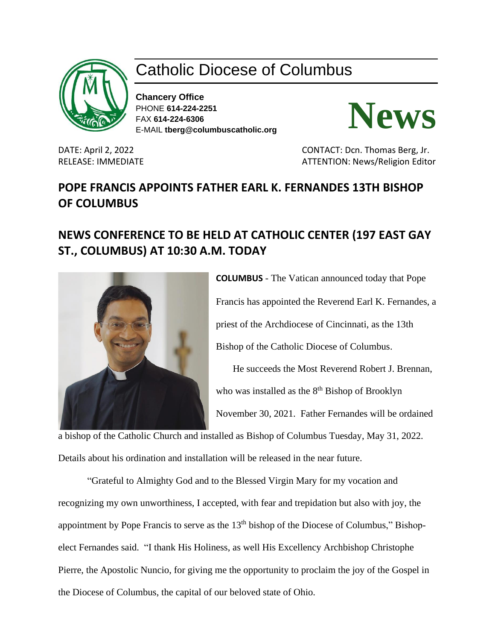

## Catholic Diocese of Columbus

**Chancery Office** PHONE **614-224-2251** FAX **614-224-6306** E-MAIL **tberg@columbuscatholic.org**



DATE: April 2, 2022 CONTACT: Dcn. Thomas Berg, Jr. RELEASE: IMMEDIATE ATTENTION: News/Religion Editor

## **POPE FRANCIS APPOINTS FATHER EARL K. FERNANDES 13TH BISHOP OF COLUMBUS**

## **NEWS CONFERENCE TO BE HELD AT CATHOLIC CENTER (197 EAST GAY ST., COLUMBUS) AT 10:30 A.M. TODAY**



**COLUMBUS** - The Vatican announced today that Pope Francis has appointed the Reverend Earl K. Fernandes, a priest of the Archdiocese of Cincinnati, as the 13th Bishop of the Catholic Diocese of Columbus. He succeeds the Most Reverend Robert J. Brennan,

who was installed as the 8<sup>th</sup> Bishop of Brooklyn

November 30, 2021. Father Fernandes will be ordained

a bishop of the Catholic Church and installed as Bishop of Columbus Tuesday, May 31, 2022. Details about his ordination and installation will be released in the near future.

"Grateful to Almighty God and to the Blessed Virgin Mary for my vocation and recognizing my own unworthiness, I accepted, with fear and trepidation but also with joy, the appointment by Pope Francis to serve as the 13<sup>th</sup> bishop of the Diocese of Columbus," Bishopelect Fernandes said. "I thank His Holiness, as well His Excellency Archbishop Christophe Pierre, the Apostolic Nuncio, for giving me the opportunity to proclaim the joy of the Gospel in the Diocese of Columbus, the capital of our beloved state of Ohio.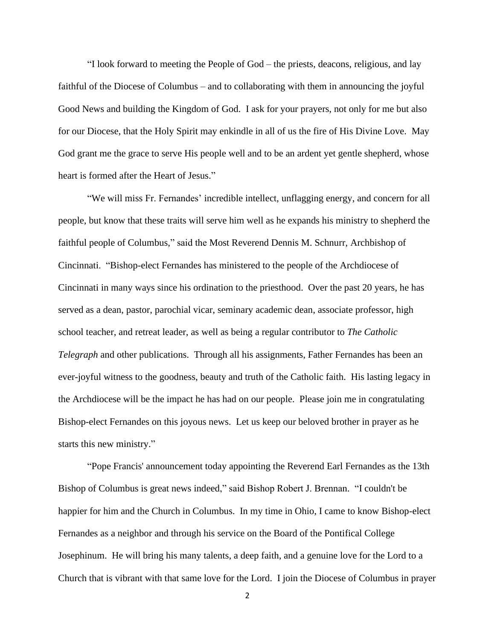"I look forward to meeting the People of God – the priests, deacons, religious, and lay faithful of the Diocese of Columbus – and to collaborating with them in announcing the joyful Good News and building the Kingdom of God. I ask for your prayers, not only for me but also for our Diocese, that the Holy Spirit may enkindle in all of us the fire of His Divine Love. May God grant me the grace to serve His people well and to be an ardent yet gentle shepherd, whose heart is formed after the Heart of Jesus."

"We will miss Fr. Fernandes' incredible intellect, unflagging energy, and concern for all people, but know that these traits will serve him well as he expands his ministry to shepherd the faithful people of Columbus," said the Most Reverend Dennis M. Schnurr, Archbishop of Cincinnati. "Bishop-elect Fernandes has ministered to the people of the Archdiocese of Cincinnati in many ways since his ordination to the priesthood. Over the past 20 years, he has served as a dean, pastor, parochial vicar, seminary academic dean, associate professor, high school teacher, and retreat leader, as well as being a regular contributor to *The Catholic Telegraph* and other publications. Through all his assignments, Father Fernandes has been an ever-joyful witness to the goodness, beauty and truth of the Catholic faith. His lasting legacy in the Archdiocese will be the impact he has had on our people. Please join me in congratulating Bishop-elect Fernandes on this joyous news. Let us keep our beloved brother in prayer as he starts this new ministry."

"Pope Francis' announcement today appointing the Reverend Earl Fernandes as the 13th Bishop of Columbus is great news indeed," said Bishop Robert J. Brennan. "I couldn't be happier for him and the Church in Columbus. In my time in Ohio, I came to know Bishop-elect Fernandes as a neighbor and through his service on the Board of the Pontifical College Josephinum. He will bring his many talents, a deep faith, and a genuine love for the Lord to a Church that is vibrant with that same love for the Lord. I join the Diocese of Columbus in prayer

2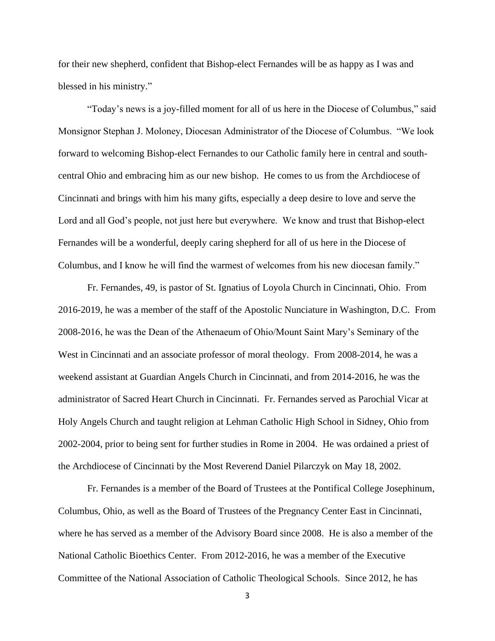for their new shepherd, confident that Bishop-elect Fernandes will be as happy as I was and blessed in his ministry."

"Today's news is a joy-filled moment for all of us here in the Diocese of Columbus," said Monsignor Stephan J. Moloney, Diocesan Administrator of the Diocese of Columbus. "We look forward to welcoming Bishop-elect Fernandes to our Catholic family here in central and southcentral Ohio and embracing him as our new bishop. He comes to us from the Archdiocese of Cincinnati and brings with him his many gifts, especially a deep desire to love and serve the Lord and all God's people, not just here but everywhere. We know and trust that Bishop-elect Fernandes will be a wonderful, deeply caring shepherd for all of us here in the Diocese of Columbus, and I know he will find the warmest of welcomes from his new diocesan family."

Fr. Fernandes, 49, is pastor of St. Ignatius of Loyola Church in Cincinnati, Ohio. From 2016-2019, he was a member of the staff of the Apostolic Nunciature in Washington, D.C. From 2008-2016, he was the Dean of the Athenaeum of Ohio/Mount Saint Mary's Seminary of the West in Cincinnati and an associate professor of moral theology. From 2008-2014, he was a weekend assistant at Guardian Angels Church in Cincinnati, and from 2014-2016, he was the administrator of Sacred Heart Church in Cincinnati. Fr. Fernandes served as Parochial Vicar at Holy Angels Church and taught religion at Lehman Catholic High School in Sidney, Ohio from 2002-2004, prior to being sent for further studies in Rome in 2004. He was ordained a priest of the Archdiocese of Cincinnati by the Most Reverend Daniel Pilarczyk on May 18, 2002.

Fr. Fernandes is a member of the Board of Trustees at the Pontifical College Josephinum, Columbus, Ohio, as well as the Board of Trustees of the Pregnancy Center East in Cincinnati, where he has served as a member of the Advisory Board since 2008. He is also a member of the National Catholic Bioethics Center. From 2012-2016, he was a member of the Executive Committee of the National Association of Catholic Theological Schools. Since 2012, he has

3